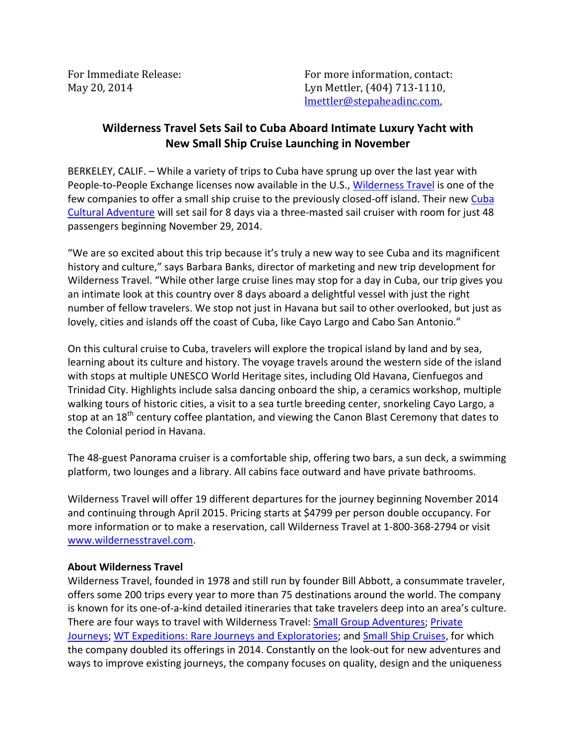For Immediate Release: The Contact: For more information, contact: May 20, 2014 Lyn Mettler, (404) 713-1110, lmettler@stepaheadinc.com,

## **Wilderness Travel Sets Sail to Cuba Aboard Intimate Luxury Yacht with New Small Ship Cruise Launching in November**

BERKELEY, CALIF. – While a variety of trips to Cuba have sprung up over the last year with People-to-People Exchange licenses now available in the U.S., [Wilderness Travel i](http://www.wildernesstravel.com/)s one of the few companies to offer a small ship cruise to the previously closed-off island. Their new Cuba [Cultural Adventure](http://www.wildernesstravel.com/trip/cuba/havana-cayo-largo-cienfuegos-cultural-cruise) will set sail for 8 days via a three-masted sail cruiser with room for just 48 passengers beginning November 29, 2014.

"We are so excited about this trip because it's truly a new way to see Cuba and its magnificent history and culture," says Barbara Banks, director of marketing and new trip development for Wilderness Travel. "While other large cruise lines may stop for a day in Cuba, our trip gives you an intimate look at this country over 8 days aboard a delightful vessel with just the right number of fellow travelers. We stop not just in Havana but sail to other overlooked, but just as lovely, cities and islands off the coast of Cuba, like Cayo Largo and Cabo San Antonio."

On this cultural cruise to Cuba, travelers will explore the tropical island by land and by sea, learning about its culture and history. The voyage travels around the western side of the island with stops at multiple UNESCO World Heritage sites, including Old Havana, Cienfuegos and Trinidad City. Highlights include salsa dancing onboard the ship, a ceramics workshop, multiple walking tours of historic cities, a visit to a sea turtle breeding center, snorkeling Cayo Largo, a stop at an 18<sup>th</sup> century coffee plantation, and viewing the Canon Blast Ceremony that dates to the Colonial period in Havana.

The 48-guest Panorama cruiser is a comfortable ship, offering two bars, a sun deck, a swimming platform, two lounges and a library. All cabins face outward and have private bathrooms.

Wilderness Travel will offer 19 different departures for the journey beginning November 2014 and continuing through April 2015. Pricing starts at \$4799 per person double occupancy. For more information or to make a reservation, call Wilderness Travel at 1-800-368-2794 or visit [www.wildernesstravel.com.](http://www.wildernesstravel.com/) 

## **About Wilderness Travel**

Wilderness Travel, founded in 1978 and still run by founder Bill Abbott, a consummate traveler, offers some 200 trips every year to more than 75 destinations around the world. The company is known for its one-of-a-kind detailed itineraries that take travelers deep into an area's culture. There are four ways to travel with Wilderness Travel: [Small Group Adventures;](http://www.wildernesstravel.com/our-trips/small-group-adventures) [Private](http://www.wildernesstravel.com/our-trips/private-journeys)  [Journeys;](http://www.wildernesstravel.com/our-trips/private-journeys) [WT Expeditions: Rare Journeys and Exploratories;](http://www.wildernesstravel.com/our-trips/wt-expeditions) and [Small Ship Cruises](http://www.wildernesstravel.com/our-trips/small-ship-cruises), for which the company doubled its offerings in 2014. Constantly on the look-out for new adventures and ways to improve existing journeys, the company focuses on quality, design and the uniqueness